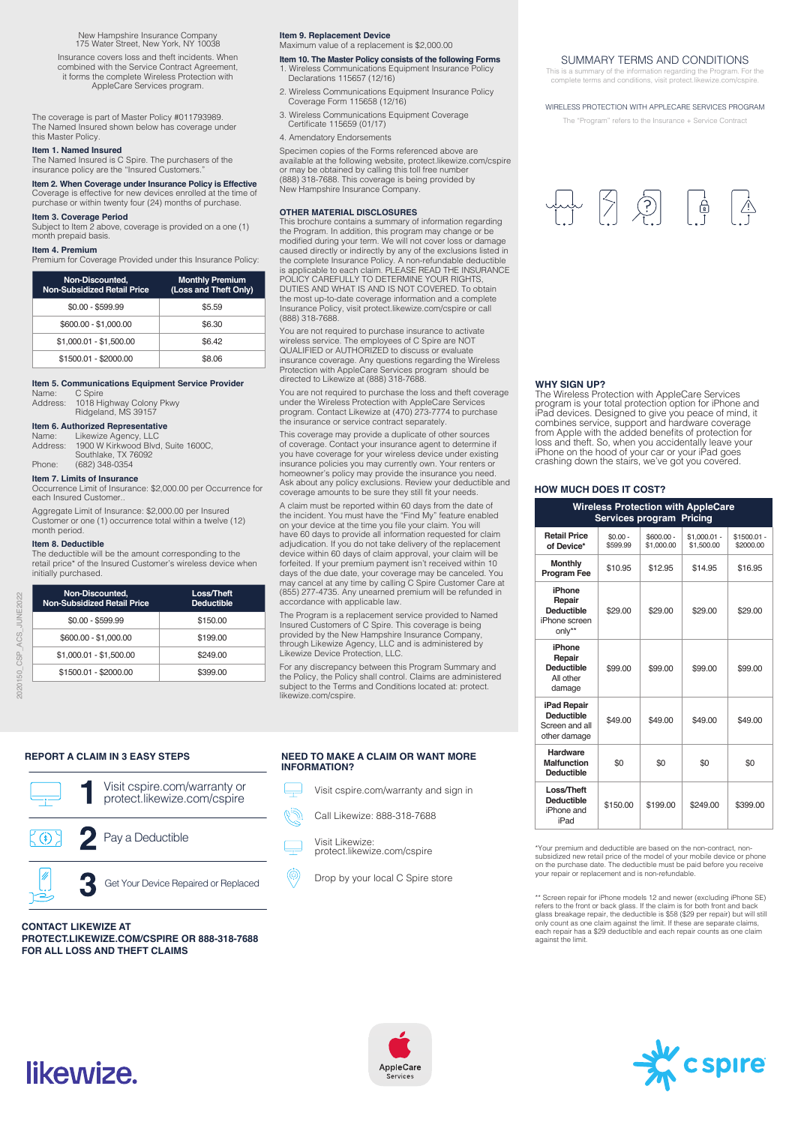New Hampshire Insurance Company 175 Water Street, New York, NY 10038

Insurance covers loss and theft incidents. When combined with the Service Contract Agreement, it forms the complete Wireless Protection with AppleCare Services program.

The coverage is part of Master Policy #011793989. The Named Insured shown below has coverage under this Master Policy.

#### **Item 1. Named Insured**

The Named Insured is C Spire. The purchasers of the insurance policy are the "Insured Customers.

**Item 2. When Coverage under Insurance Policy is Effective**  Coverage is effective for new devices enrolled at the time of purchase or within twenty four (24) months of purchase.

#### **Item 3. Coverage Period**

Subject to Item 2 above, coverage is provided on a one (1) month prepaid basis.

**Item 4. Premium**<br>Premium for Coverage Provided under this Insurance Policy:

| Non-Discounted.<br><b>Non-Subsidized Retail Price</b> | <b>Monthly Premium</b><br>(Loss and Theft Only) |
|-------------------------------------------------------|-------------------------------------------------|
| $$0.00 - $599.99$                                     | \$5.59                                          |
| \$600.00 - \$1,000.00                                 | \$6.30                                          |
| $$1,000.01 - $1,500.00$                               | \$6.42                                          |
| \$1500.01 - \$2000.00                                 | \$8.06                                          |

#### **Item 5. Communications Equipment Service Provider**  C Spire

Address: 1018 Highway Colony Pkwy Ridgeland, MS 39157

#### **Item 6. Authorized Representative**

Name: Likewize Agency, LLC Address: 1900 W Kirkwood Blvd, Suite 1600C, Southlake, TX 76092 Phone: (682) 348-0354

#### **Item 7. Limits of Insurance**

Occurrence Limit of Insurance: \$2,000.00 per Occurrence for each Insured Customer..

Aggregate Limit of Insurance: \$2,000.00 per Insured Customer or one (1) occurrence total within a twelve (12) month period.

#### **Item 8. Deductible**

The deductible will be the amount corresponding to the retail price\* of the Insured Customer's wireless device when initially purchased.

| Non-Discounted.<br><b>Non-Subsidized Retail Price</b> | Loss/Theft<br><b>Deductible</b> |
|-------------------------------------------------------|---------------------------------|
| $$0.00 - $599.99$                                     | \$150.00                        |
| \$600.00 - \$1,000.00                                 | \$199.00                        |
| $$1,000.01 - $1,500.00$                               | \$249.00                        |
| \$1500.01 - \$2000.00                                 | \$399.00                        |



**PROTECT.LIKEWIZE.COM/CSPIRE OR 888-318-7688** 

#### **Item 9. Replacement Device**  Maximum value of a replacement is \$2,000.00

**Item 10. The Master Policy consists of the following Forms**  1. Wireless Communications Equipment Insurance Policy

- Declarations 115657 (12/16) 2. Wireless Communications Equipment Insurance Policy Coverage Form 115658 (12/16)
- 3. Wireless Communications Equipment Coverage Certificate 115659 (01/17)
- 4. Amendatory Endorsements

Specimen copies of the Forms referenced above are available at the following website, protect.likewize.com/cspire or may be obtained by calling this toll free number (888) 318-7688. This coverage is being provided by New Hampshire Insurance Company.

#### **OTHER MATERIAL DISCLOSURES**

This brochure contains a summary of information regarding the Program. In addition, this program may change or be modified during your term. We will not cover loss or damage caused directly or indirectly by any of the exclusions listed in the complete Insurance Policy. A non-refundable deductible is applicable to each claim. PLEASE READ THE INSURANCE POLICY CAREFULLY TO DETERMINE YOUR RIGHTS, DUTIES AND WHAT IS AND IS NOT COVERED. To obtain the most up-to-date coverage information and a complete Insurance Policy, visit protect.likewize.com/cspire or call (888) 318-7688.

You are not required to purchase insurance to activate wireless service. The employees of C Spire are NOT QUALIFIED or AUTHORIZED to discuss or evaluate insurance coverage. Any questions regarding the Wireless Protection with AppleCare Services program should be directed to Likewize at (888) 318-7688.

You are not required to purchase the loss and theft coverage under the Wireless Protection with AppleCare Services program. Contact Likewize at (470) 273-7774 to purchase the insurance or service contract separately.

This coverage may provide a duplicate of other sources of coverage. Contact your insurance agent to determine if you have coverage for your wireless device under existing insurance policies you may currently own. Your renters or homeowner's policy may provide the insurance you need. Ask about any policy exclusions. Review your deductible and coverage amounts to be sure they still fit your needs.

A claim must be reported within 60 days from the date of the incident. You must have the "Find My" feature enabled on your device at the time you file your claim. You will have 60 days to provide all information requested for claim adjudication. If you do not take delivery of the replacement device within 60 days of claim approval, your claim will be forfeited. If your premium payment isn't received within 10 days of the due date, your coverage may be canceled. You may cancel at any time by calling C Spire Customer Care at (855) 277-4735. Any unearned premium will be refunded in accordance with applicable law.

The Program is a replacement service provided to Named Insured Customers of C Spire. This coverage is being provided by the New Hampshire Insurance Company, through Likewize Agency, LLC and is administered by Likewize Device Protection, LLC.

For any discrepancy between this Program Summary and the Policy, the Policy shall control. Claims are administered subject to the Terms and Conditions located at: protect. likewize.com/cspire.

#### **REPORT A CLAIM IN 3 EASY STEPS NEED TO MAKE A CLAIM OR WANT MORE INFORMATION?**

- Visit cspire.com/warranty and sign in  $\overline{\mathbf{r}}$ 
	- Call Likewize: 888-318-7688
- Visit Likewize:  $\frac{1}{1}$ protect.likewize.com/cspire
- $\circledS$ Drop by your local C Spire store

#### SUMMARY TERMS AND CONDITIONS

This is a summary of the information regarding the Program. For complete terms and conditions, visit protect.likewize.

#### WIRELESS PROTECTION WITH APPLECARE SERVICES PROGRAM

The "Program" refers to the Insurance + Service Contract

## $\begin{array}{|c|c|c|c|c|}\hline \text{L} & \text{L} & \text{L} & \text{L} \\ \hline \text{L} & \text{L} & \text{L} & \text{L} \\ \hline \text{L} & \text{L} & \text{L} & \text{L} \\ \hline \end{array}$  $\frac{1}{\overrightarrow{p}}$

#### **WHY SIGN UP?**

The Wireless Protection with AppleCare Services program is your total protection option for iPhone and iPad devices. Designed to give you peace of mind, it combines service, support and hardware coverage from Apple with the added benefits of protection for loss and theft. So, when you accidentally leave your iPhone on the hood of your car or your iPad goes crashing down the stairs, we've got you covered.

#### **HOW MUCH DOES IT COST?**

| <b>Wireless Protection with AppleCare</b><br>Services program<br><b>Pricing</b> |                       |                           |                             |                           |  |  |  |
|---------------------------------------------------------------------------------|-----------------------|---------------------------|-----------------------------|---------------------------|--|--|--|
| <b>Retail Price</b><br>of Device*                                               | $$0.00 -$<br>\$599.99 | $$600.00 -$<br>\$1,000.00 | $$1.000.01 -$<br>\$1,500.00 | $$1500.01 -$<br>\$2000.00 |  |  |  |
| <b>Monthly</b><br>Program Fee                                                   | \$10.95               | \$12.95                   | \$14.95                     | \$16.95                   |  |  |  |
| iPhone<br>Repair<br><b>Deductible</b><br>iPhone screen<br>only**                | \$29.00               | \$29.00                   | \$29.00                     | \$29.00                   |  |  |  |
| iPhone<br>Repair<br><b>Deductible</b><br>All other<br>damage                    | \$99.00               | \$99.00                   | \$99.00                     | \$99.00                   |  |  |  |
| iPad Repair<br><b>Deductible</b><br>Screen and all<br>other damage              | \$49.00               | \$49.00                   | \$49.00                     | \$49.00                   |  |  |  |
| <b>Hardware</b><br>Malfunction<br><b>Deductible</b>                             | \$0                   | \$0                       | \$0                         | \$0                       |  |  |  |
| Loss/Theft<br><b>Deductible</b><br>iPhone and<br>iPad                           | \$150.00              | \$199.00                  | \$249.00                    | \$399.00                  |  |  |  |

\*Your premium and deductible are based on the non-contract, nonsubsidized new retail price of the model of your mobile device or phone on the purchase date. The deductible must be paid before you receive your repair or replacement and is non-refundable.

\*\* Screen repair for iPhone models 12 and newer (excluding iPhone SE)<br>refers to the front or back glass. If the claim is for both front and back<br>glass breakage repair, the deductible is \$58 (\$29 per repair) but will still<br> each repair has a \$29 deductible and each repair counts as one claim against the limit.

# likewize.

**CONTACT LIKEWIZE AT** 

**FOR ALL LOSS AND THEFT CLAIMS**